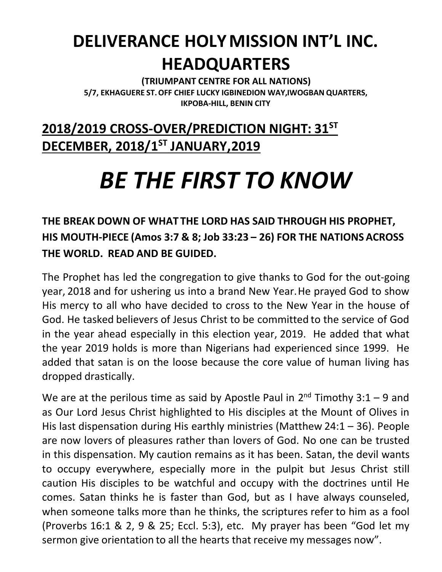## **DELIVERANCE HOLYMISSION INT'L INC. HEADQUARTERS**

**(TRIUMPANT CENTRE FOR ALL NATIONS) 5/7, EKHAGUERE ST.OFF CHIEF LUCKY IGBINEDION WAY,IWOGBAN QUARTERS, IKPOBA-HILL, BENIN CITY**

## **2018/2019 CROSS-OVER/PREDICTION NIGHT: 31ST DECEMBER, 2018/1ST JANUARY,2019**

## *BE THE FIRST TO KNOW*

## **THE BREAK DOWN OF WHAT THE LORD HAS SAID THROUGH HIS PROPHET, HIS MOUTH-PIECE (Amos 3:7 & 8; Job 33:23 – 26) FOR THE NATIONS ACROSS THE WORLD. READ AND BE GUIDED.**

The Prophet has led the congregation to give thanks to God for the out-going year, 2018 and for ushering us into a brand New Year.He prayed God to show His mercy to all who have decided to cross to the New Year in the house of God. He tasked believers of Jesus Christ to be committed to the service of God in the year ahead especially in this election year, 2019. He added that what the year 2019 holds is more than Nigerians had experienced since 1999. He added that satan is on the loose because the core value of human living has dropped drastically.

We are at the perilous time as said by Apostle Paul in  $2^{nd}$  Timothy 3:1 – 9 and as Our Lord Jesus Christ highlighted to His disciples at the Mount of Olives in His last dispensation during His earthly ministries (Matthew 24:1 – 36). People are now lovers of pleasures rather than lovers of God. No one can be trusted in this dispensation. My caution remains as it has been. Satan, the devil wants to occupy everywhere, especially more in the pulpit but Jesus Christ still caution His disciples to be watchful and occupy with the doctrines until He comes. Satan thinks he is faster than God, but as I have always counseled, when someone talks more than he thinks, the scriptures refer to him as a fool (Proverbs 16:1 & 2, 9 & 25; Eccl. 5:3), etc. My prayer has been "God let my sermon give orientation to all the hearts that receive my messages now".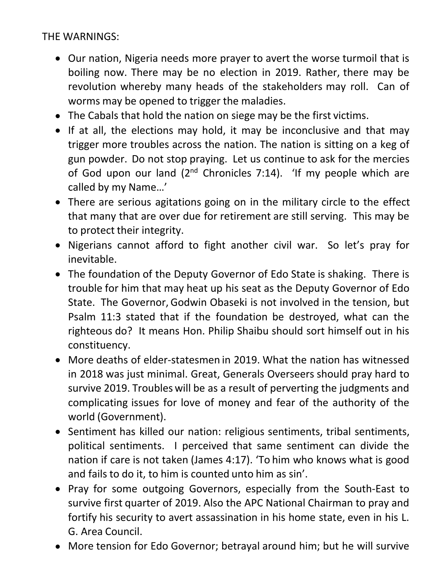THE WARNINGS:

- Our nation, Nigeria needs more prayer to avert the worse turmoil that is boiling now. There may be no election in 2019. Rather, there may be revolution whereby many heads of the stakeholders may roll. Can of worms may be opened to trigger the maladies.
- The Cabals that hold the nation on siege may be the first victims.
- If at all, the elections may hold, it may be inconclusive and that may trigger more troubles across the nation. The nation is sitting on a keg of gun powder. Do not stop praying. Let us continue to ask for the mercies of God upon our land  $(2^{nd}$  Chronicles 7:14). 'If my people which are called by my Name…'
- There are serious agitations going on in the military circle to the effect that many that are over due for retirement are still serving. This may be to protect their integrity.
- Nigerians cannot afford to fight another civil war. So let's pray for inevitable.
- The foundation of the Deputy Governor of Edo State is shaking. There is trouble for him that may heat up his seat as the Deputy Governor of Edo State. The Governor, Godwin Obaseki is not involved in the tension, but Psalm 11:3 stated that if the foundation be destroyed, what can the righteous do? It means Hon. Philip Shaibu should sort himself out in his constituency.
- More deaths of elder-statesmen in 2019. What the nation has witnessed in 2018 was just minimal. Great, Generals Overseers should pray hard to survive 2019. Troubles will be as a result of perverting the judgments and complicating issues for love of money and fear of the authority of the world (Government).
- Sentiment has killed our nation: religious sentiments, tribal sentiments, political sentiments. I perceived that same sentiment can divide the nation if care is not taken (James 4:17). 'To him who knows what is good and fails to do it, to him is counted unto him as sin'.
- Pray for some outgoing Governors, especially from the South-East to survive first quarter of 2019. Also the APC National Chairman to pray and fortify his security to avert assassination in his home state, even in his L. G. Area Council.
- More tension for Edo Governor; betrayal around him; but he will survive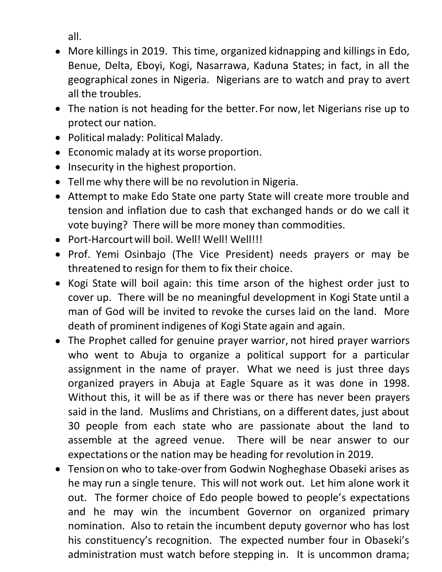all.

- More killings in 2019. This time, organized kidnapping and killings in Edo, Benue, Delta, Eboyi, Kogi, Nasarrawa, Kaduna States; in fact, in all the geographical zones in Nigeria. Nigerians are to watch and pray to avert all the troubles.
- The nation is not heading for the better.For now, let Nigerians rise up to protect our nation.
- Political malady: Political Malady.
- Economic malady at its worse proportion.
- Insecurity in the highest proportion.
- Tellme why there will be no revolution in Nigeria.
- Attempt to make Edo State one party State will create more trouble and tension and inflation due to cash that exchanged hands or do we call it vote buying? There will be more money than commodities.
- Port-Harcourt will boil. Well! Well! Well!!!!
- Prof. Yemi Osinbajo (The Vice President) needs prayers or may be threatened to resign for them to fix their choice.
- Kogi State will boil again: this time arson of the highest order just to cover up. There will be no meaningful development in Kogi State until a man of God will be invited to revoke the curses laid on the land. More death of prominent indigenes of Kogi State again and again.
- The Prophet called for genuine prayer warrior, not hired prayer warriors who went to Abuja to organize a political support for a particular assignment in the name of prayer. What we need is just three days organized prayers in Abuja at Eagle Square as it was done in 1998. Without this, it will be as if there was or there has never been prayers said in the land. Muslims and Christians, on a different dates, just about 30 people from each state who are passionate about the land to assemble at the agreed venue. There will be near answer to our expectations or the nation may be heading for revolution in 2019.
- Tension on who to take-over from Godwin Nogheghase Obaseki arises as he may run a single tenure. This will not work out. Let him alone work it out. The former choice of Edo people bowed to people's expectations and he may win the incumbent Governor on organized primary nomination. Also to retain the incumbent deputy governor who has lost his constituency's recognition. The expected number four in Obaseki's administration must watch before stepping in. It is uncommon drama;